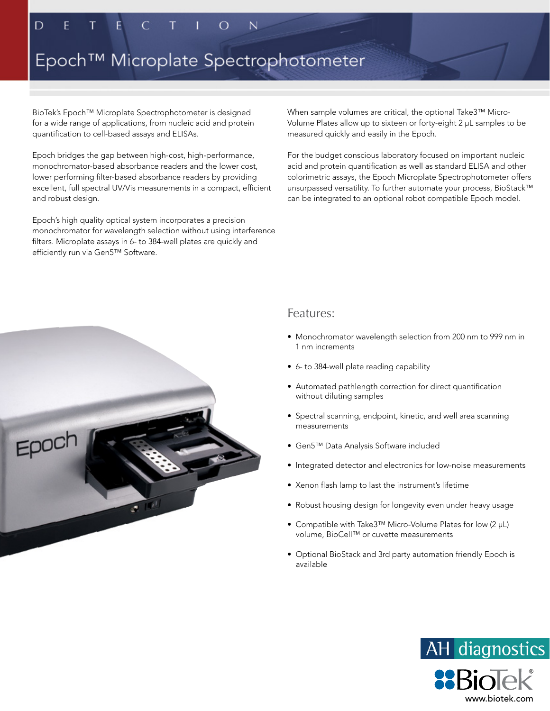# Epoch™ Microplate Spectrophotometer

BioTek's Epoch™ Microplate Spectrophotometer is designed for a wide range of applications, from nucleic acid and protein quantification to cell-based assays and ELISAs.

Epoch bridges the gap between high-cost, high-performance, monochromator-based absorbance readers and the lower cost, lower performing filter-based absorbance readers by providing excellent, full spectral UV/Vis measurements in a compact, efficient and robust design.

Epoch's high quality optical system incorporates a precision monochromator for wavelength selection without using interference filters. Microplate assays in 6- to 384-well plates are quickly and efficiently run via Gen5™ Software.

When sample volumes are critical, the optional Take3™ Micro-Volume Plates allow up to sixteen or forty-eight 2 µL samples to be measured quickly and easily in the Epoch.

For the budget conscious laboratory focused on important nucleic acid and protein quantification as well as standard ELISA and other colorimetric assays, the Epoch Microplate Spectrophotometer offers unsurpassed versatility. To further automate your process, BioStack™ can be integrated to an optional robot compatible Epoch model.



### Features:

- Monochromator wavelength selection from 200 nm to 999 nm in 1 nm increments
- 6- to 384-well plate reading capability
- Automated pathlength correction for direct quantification without diluting samples
- Spectral scanning, endpoint, kinetic, and well area scanning measurements
- Gen5™ Data Analysis Software included
- Integrated detector and electronics for low-noise measurements
- Xenon flash lamp to last the instrument's lifetime
- Robust housing design for longevity even under heavy usage
- Compatible with Take3™ Micro-Volume Plates for low (2 µL) volume, BioCell™ or cuvette measurements
- Optional BioStack and 3rd party automation friendly Epoch is available

www.biotek.com

AH diagnostics